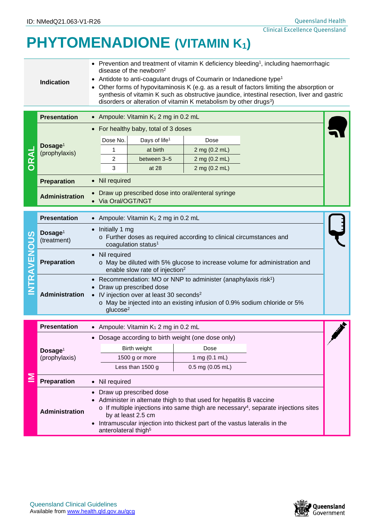## **PHYTOMENADIONE (VITAMIN K1)**

|                  | • Prevention and treatment of vitamin K deficiency bleeding <sup>1</sup> , including haemorrhagic<br>disease of the newborn <sup>2</sup><br>Antidote to anti-coagulant drugs of Coumarin or Indanedione type <sup>1</sup><br><b>Indication</b><br>Other forms of hypovitaminosis K (e.g. as a result of factors limiting the absorption or<br>synthesis of vitamin K such as obstructive jaundice, intestinal resection, liver and gastric<br>disorders or alteration of vitamin K metabolism by other drugs <sup>3</sup> ) |                                                                                                                                                                                                                                                                                                                                               |                    |  |  |  |
|------------------|-----------------------------------------------------------------------------------------------------------------------------------------------------------------------------------------------------------------------------------------------------------------------------------------------------------------------------------------------------------------------------------------------------------------------------------------------------------------------------------------------------------------------------|-----------------------------------------------------------------------------------------------------------------------------------------------------------------------------------------------------------------------------------------------------------------------------------------------------------------------------------------------|--------------------|--|--|--|
|                  | <b>Presentation</b>                                                                                                                                                                                                                                                                                                                                                                                                                                                                                                         | Ampoule: Vitamin K <sub>1</sub> 2 mg in 0.2 mL                                                                                                                                                                                                                                                                                                |                    |  |  |  |
|                  |                                                                                                                                                                                                                                                                                                                                                                                                                                                                                                                             | For healthy baby, total of 3 doses<br>$\bullet$                                                                                                                                                                                                                                                                                               |                    |  |  |  |
|                  | Dosage <sup>1</sup><br>(prophylaxis)                                                                                                                                                                                                                                                                                                                                                                                                                                                                                        | Dose No.<br>Days of life <sup>1</sup>                                                                                                                                                                                                                                                                                                         | Dose               |  |  |  |
|                  |                                                                                                                                                                                                                                                                                                                                                                                                                                                                                                                             | at birth<br>1                                                                                                                                                                                                                                                                                                                                 | 2 mg (0.2 mL)      |  |  |  |
| <b>ORAL</b>      |                                                                                                                                                                                                                                                                                                                                                                                                                                                                                                                             | 2<br>between 3-5                                                                                                                                                                                                                                                                                                                              | 2 mg (0.2 mL)      |  |  |  |
|                  |                                                                                                                                                                                                                                                                                                                                                                                                                                                                                                                             | 3<br>at 28                                                                                                                                                                                                                                                                                                                                    | 2 mg (0.2 mL)      |  |  |  |
|                  | <b>Preparation</b>                                                                                                                                                                                                                                                                                                                                                                                                                                                                                                          | Nil required<br>$\bullet$                                                                                                                                                                                                                                                                                                                     |                    |  |  |  |
|                  | <b>Administration</b>                                                                                                                                                                                                                                                                                                                                                                                                                                                                                                       | Draw up prescribed dose into oral/enteral syringe<br>• Via Oral/OGT/NGT                                                                                                                                                                                                                                                                       |                    |  |  |  |
| <b>TRAVENOUS</b> | <b>Presentation</b>                                                                                                                                                                                                                                                                                                                                                                                                                                                                                                         | Ampoule: Vitamin K <sub>1</sub> 2 mg in 0.2 mL                                                                                                                                                                                                                                                                                                |                    |  |  |  |
|                  | Dosage <sup>1</sup><br>(treatment)                                                                                                                                                                                                                                                                                                                                                                                                                                                                                          | Initially 1 mg<br>o Further doses as required according to clinical circumstances and<br>coagulation status <sup>1</sup>                                                                                                                                                                                                                      |                    |  |  |  |
|                  | <b>Preparation</b>                                                                                                                                                                                                                                                                                                                                                                                                                                                                                                          | • Nil required<br>o May be diluted with 5% glucose to increase volume for administration and<br>enable slow rate of injection <sup>2</sup>                                                                                                                                                                                                    |                    |  |  |  |
|                  | <b>Administration</b>                                                                                                                                                                                                                                                                                                                                                                                                                                                                                                       | Recommendation: MO or NNP to administer (anaphylaxis risk <sup>1</sup> )<br>Draw up prescribed dose<br>IV injection over at least 30 seconds <sup>2</sup><br>$\bullet$<br>o May be injected into an existing infusion of 0.9% sodium chloride or 5%<br>glucose <sup>2</sup>                                                                   |                    |  |  |  |
|                  | <b>Presentation</b>                                                                                                                                                                                                                                                                                                                                                                                                                                                                                                         | • Ampoule: Vitamin $K_1$ 2 mg in 0.2 mL                                                                                                                                                                                                                                                                                                       |                    |  |  |  |
|                  |                                                                                                                                                                                                                                                                                                                                                                                                                                                                                                                             | • Dosage according to birth weight (one dose only)                                                                                                                                                                                                                                                                                            |                    |  |  |  |
|                  | Dosage <sup>1</sup><br>(prophylaxis)                                                                                                                                                                                                                                                                                                                                                                                                                                                                                        | Birth weight                                                                                                                                                                                                                                                                                                                                  | Dose               |  |  |  |
| ≧                |                                                                                                                                                                                                                                                                                                                                                                                                                                                                                                                             | 1500 g or more                                                                                                                                                                                                                                                                                                                                | 1 mg (0.1 mL)      |  |  |  |
|                  |                                                                                                                                                                                                                                                                                                                                                                                                                                                                                                                             | Less than 1500 g                                                                                                                                                                                                                                                                                                                              | $0.5$ mg (0.05 mL) |  |  |  |
|                  | <b>Preparation</b>                                                                                                                                                                                                                                                                                                                                                                                                                                                                                                          | Nil required                                                                                                                                                                                                                                                                                                                                  |                    |  |  |  |
|                  | <b>Administration</b>                                                                                                                                                                                                                                                                                                                                                                                                                                                                                                       | Draw up prescribed dose<br>Administer in alternate thigh to that used for hepatitis B vaccine<br>$\circ$ If multiple injections into same thigh are necessary <sup>4</sup> , separate injections sites<br>by at least 2.5 cm<br>Intramuscular injection into thickest part of the vastus lateralis in the<br>anterolateral thigh <sup>5</sup> |                    |  |  |  |

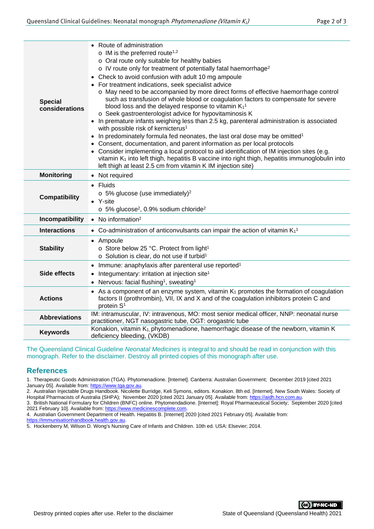| <b>Special</b><br>considerations | • Route of administration<br>$\circ$ IM is the preferred route <sup>1,2</sup><br>o Oral route only suitable for healthy babies<br>o IV route only for treatment of potentially fatal haemorrhage <sup>2</sup><br>Check to avoid confusion with adult 10 mg ampoule<br>• For treatment indications, seek specialist advice<br>o May need to be accompanied by more direct forms of effective haemorrhage control<br>such as transfusion of whole blood or coagulation factors to compensate for severe<br>blood loss and the delayed response to vitamin $K_1$ <sup>1</sup><br>o Seek gastroenterologist advice for hypovitaminosis K<br>• In premature infants weighing less than 2.5 kg, parenteral administration is associated<br>with possible risk of kernicterus <sup>1</sup><br>• In predominately formula fed neonates, the last oral dose may be omitted <sup>1</sup><br>• Consent, documentation, and parent information as per local protocols<br>• Consider implementing a local protocol to aid identification of IM injection sites (e.g.<br>vitamin K <sub>1</sub> into left thigh, hepatitis B vaccine into right thigh, hepatitis immunoglobulin into<br>left thigh at least 2.5 cm from vitamin K IM injection site) |  |  |  |
|----------------------------------|----------------------------------------------------------------------------------------------------------------------------------------------------------------------------------------------------------------------------------------------------------------------------------------------------------------------------------------------------------------------------------------------------------------------------------------------------------------------------------------------------------------------------------------------------------------------------------------------------------------------------------------------------------------------------------------------------------------------------------------------------------------------------------------------------------------------------------------------------------------------------------------------------------------------------------------------------------------------------------------------------------------------------------------------------------------------------------------------------------------------------------------------------------------------------------------------------------------------------------------|--|--|--|
| <b>Monitoring</b>                | • Not required                                                                                                                                                                                                                                                                                                                                                                                                                                                                                                                                                                                                                                                                                                                                                                                                                                                                                                                                                                                                                                                                                                                                                                                                                         |  |  |  |
| <b>Compatibility</b>             | • Fluids<br>$\circ$ 5% glucose (use immediately) <sup>2</sup><br>• Y-site<br>$\circ$ 5% glucose <sup>2</sup> , 0.9% sodium chloride <sup>2</sup>                                                                                                                                                                                                                                                                                                                                                                                                                                                                                                                                                                                                                                                                                                                                                                                                                                                                                                                                                                                                                                                                                       |  |  |  |
| Incompatibility                  | • No information <sup>2</sup>                                                                                                                                                                                                                                                                                                                                                                                                                                                                                                                                                                                                                                                                                                                                                                                                                                                                                                                                                                                                                                                                                                                                                                                                          |  |  |  |
| <b>Interactions</b>              | • Co-administration of anticonvulsants can impair the action of vitamin $K_1$ <sup>1</sup>                                                                                                                                                                                                                                                                                                                                                                                                                                                                                                                                                                                                                                                                                                                                                                                                                                                                                                                                                                                                                                                                                                                                             |  |  |  |
| <b>Stability</b>                 | • Ampoule<br>o Store below 25 °C. Protect from light <sup>1</sup><br>$\circ$ Solution is clear, do not use if turbid <sup>1</sup>                                                                                                                                                                                                                                                                                                                                                                                                                                                                                                                                                                                                                                                                                                                                                                                                                                                                                                                                                                                                                                                                                                      |  |  |  |
| <b>Side effects</b>              | Immune: anaphylaxis after parenteral use reported <sup>1</sup><br>$\bullet$<br>Integumentary: irritation at injection site <sup>1</sup><br>$\bullet$<br>• Nervous: facial flushing <sup>1</sup> , sweating <sup>1</sup>                                                                                                                                                                                                                                                                                                                                                                                                                                                                                                                                                                                                                                                                                                                                                                                                                                                                                                                                                                                                                |  |  |  |
| <b>Actions</b>                   | As a component of an enzyme system, vitamin $K_1$ promotes the formation of coagulation<br>factors II (prothrombin), VII, IX and X and of the coagulation inhibitors protein C and<br>protein S <sup>1</sup>                                                                                                                                                                                                                                                                                                                                                                                                                                                                                                                                                                                                                                                                                                                                                                                                                                                                                                                                                                                                                           |  |  |  |
| <b>Abbreviations</b>             | IM: intramuscular, IV: intravenous, MO: most senior medical officer, NNP: neonatal nurse<br>practitioner, NGT nasogastric tube, OGT: orogastric tube                                                                                                                                                                                                                                                                                                                                                                                                                                                                                                                                                                                                                                                                                                                                                                                                                                                                                                                                                                                                                                                                                   |  |  |  |
| <b>Keywords</b>                  | Konakion, vitamin K <sub>1</sub> , phytomenadione, haemorrhagic disease of the newborn, vitamin K<br>deficiency bleeding, (VKDB)                                                                                                                                                                                                                                                                                                                                                                                                                                                                                                                                                                                                                                                                                                                                                                                                                                                                                                                                                                                                                                                                                                       |  |  |  |

The Queensland Clinical Guideline *Neonatal Medicines* is integral to and should be read in conjunction with this monograph. Refer to the disclaimer. Destroy all printed copies of this monograph after use.

## **References**

1. Therapeutic Goods Administration (TGA). Phytomenadione. [Internet]. Canberra: Australian Government; December 2019 [cited 2021 January 05]. Available from: https://www.tga.gov.au

2. Australian Injectable Drugs Handbook. Nicolette Burridge, Keli Symons, editors. Konakion. 8th ed. [Internet]. New South Wales: Society of Hospital Pharmacists of Australia (SHPA); November 2020 [cited 2021 January 05]. Available from: [https://aidh.hcn.com.au.](https://aidh.hcn.com.au/)

3. British National Formulary for Children (BNFC) online. Phytomendadione. [Internet]: Royal Pharmaceutical Society; September 2020 [cited 2021 February 10]. Available from: https://www.medicinescomplete.com. 2021 February 10]. Available from: https://www.r

4. Australian Government Department of Health. Hepatitis B. [Internet] 2020 [cited 2021 February 05]. Available from:

[https://immunisationhandbook.health.gov.au.](https://immunisationhandbook.health.gov.au/)

5. Hockenberry M, Wilson D. Wong's Nursing Care of Infants and Children. 10th ed. USA: Elsevier; 2014.